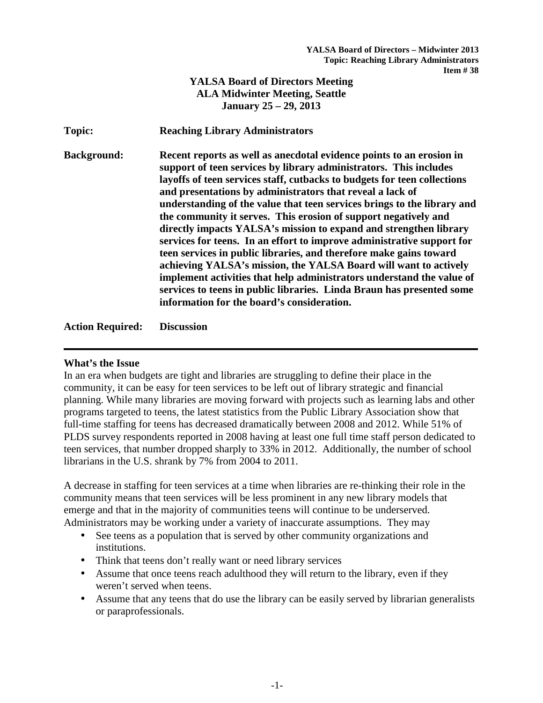# **YALSA Board of Directors Meeting ALA Midwinter Meeting, Seattle January 25 – 29, 2013**

**Topic: Reaching Library Administrators** 

**Background: Recent reports as well as anecdotal evidence points to an erosion in support of teen services by library administrators. This includes layoffs of teen services staff, cutbacks to budgets for teen collections and presentations by administrators that reveal a lack of understanding of the value that teen services brings to the library and the community it serves. This erosion of support negatively and directly impacts YALSA's mission to expand and strengthen library services for teens. In an effort to improve administrative support for teen services in public libraries, and therefore make gains toward achieving YALSA's mission, the YALSA Board will want to actively implement activities that help administrators understand the value of services to teens in public libraries. Linda Braun has presented some information for the board's consideration.** 

**Action Required: Discussion** 

### **What's the Issue**

In an era when budgets are tight and libraries are struggling to define their place in the community, it can be easy for teen services to be left out of library strategic and financial planning. While many libraries are moving forward with projects such as learning labs and other programs targeted to teens, the latest statistics from the Public Library Association show that full-time staffing for teens has decreased dramatically between 2008 and 2012. While 51% of PLDS survey respondents reported in 2008 having at least one full time staff person dedicated to teen services, that number dropped sharply to 33% in 2012. Additionally, the number of school librarians in the U.S. shrank by 7% from 2004 to 2011.

A decrease in staffing for teen services at a time when libraries are re-thinking their role in the community means that teen services will be less prominent in any new library models that emerge and that in the majority of communities teens will continue to be underserved. Administrators may be working under a variety of inaccurate assumptions. They may

- See teens as a population that is served by other community organizations and institutions.
- Think that teens don't really want or need library services
- Assume that once teens reach adulthood they will return to the library, even if they weren't served when teens.
- Assume that any teens that do use the library can be easily served by librarian generalists or paraprofessionals.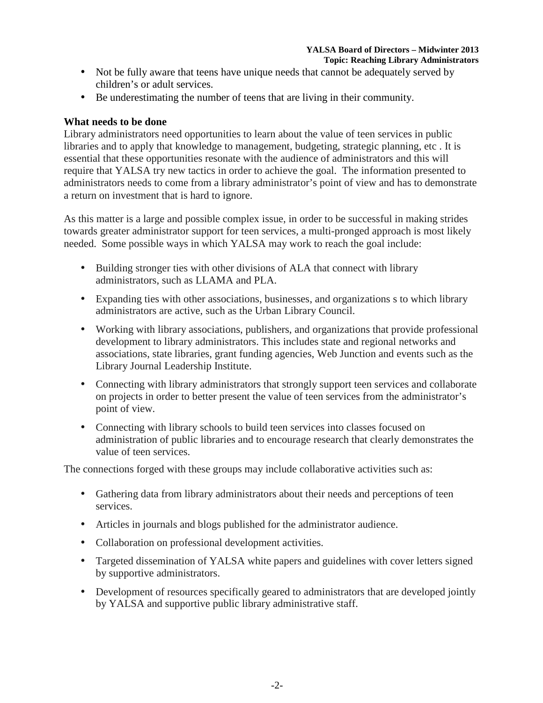#### **YALSA Board of Directors – Midwinter 2013 Topic: Reaching Library Administrators**

- Not be fully aware that teens have unique needs that cannot be adequately served by children's or adult services.
- Be underestimating the number of teens that are living in their community.

# **What needs to be done**

Library administrators need opportunities to learn about the value of teen services in public libraries and to apply that knowledge to management, budgeting, strategic planning, etc . It is essential that these opportunities resonate with the audience of administrators and this will require that YALSA try new tactics in order to achieve the goal. The information presented to administrators needs to come from a library administrator's point of view and has to demonstrate a return on investment that is hard to ignore.

As this matter is a large and possible complex issue, in order to be successful in making strides towards greater administrator support for teen services, a multi-pronged approach is most likely needed. Some possible ways in which YALSA may work to reach the goal include:

- Building stronger ties with other divisions of ALA that connect with library administrators, such as LLAMA and PLA.
- Expanding ties with other associations, businesses, and organizations s to which library administrators are active, such as the Urban Library Council.
- Working with library associations, publishers, and organizations that provide professional development to library administrators. This includes state and regional networks and associations, state libraries, grant funding agencies, Web Junction and events such as the Library Journal Leadership Institute.
- Connecting with library administrators that strongly support teen services and collaborate on projects in order to better present the value of teen services from the administrator's point of view.
- Connecting with library schools to build teen services into classes focused on administration of public libraries and to encourage research that clearly demonstrates the value of teen services.

The connections forged with these groups may include collaborative activities such as:

- Gathering data from library administrators about their needs and perceptions of teen services.
- Articles in journals and blogs published for the administrator audience.
- Collaboration on professional development activities.
- Targeted dissemination of YALSA white papers and guidelines with cover letters signed by supportive administrators.
- Development of resources specifically geared to administrators that are developed jointly by YALSA and supportive public library administrative staff.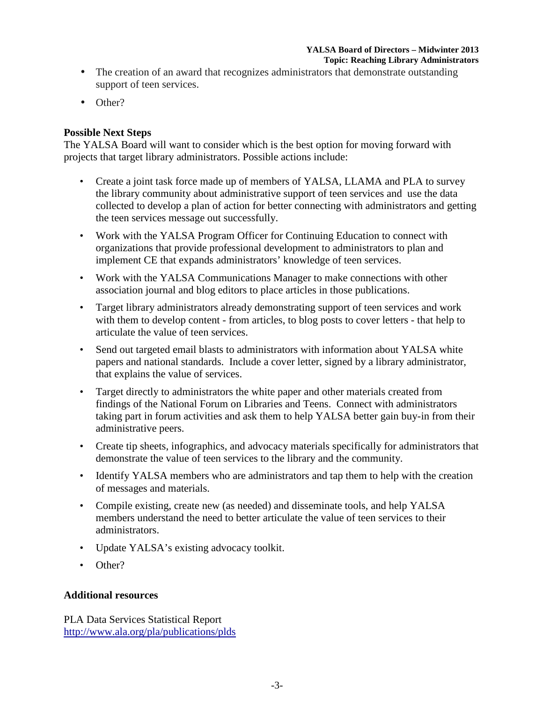#### **YALSA Board of Directors – Midwinter 2013 Topic: Reaching Library Administrators**

- The creation of an award that recognizes administrators that demonstrate outstanding support of teen services.
- Other?

## **Possible Next Steps**

The YALSA Board will want to consider which is the best option for moving forward with projects that target library administrators. Possible actions include:

- Create a joint task force made up of members of YALSA, LLAMA and PLA to survey the library community about administrative support of teen services and use the data collected to develop a plan of action for better connecting with administrators and getting the teen services message out successfully.
- Work with the YALSA Program Officer for Continuing Education to connect with organizations that provide professional development to administrators to plan and implement CE that expands administrators' knowledge of teen services.
- Work with the YALSA Communications Manager to make connections with other association journal and blog editors to place articles in those publications.
- Target library administrators already demonstrating support of teen services and work with them to develop content - from articles, to blog posts to cover letters - that help to articulate the value of teen services.
- Send out targeted email blasts to administrators with information about YALSA white papers and national standards. Include a cover letter, signed by a library administrator, that explains the value of services.
- Target directly to administrators the white paper and other materials created from findings of the National Forum on Libraries and Teens. Connect with administrators taking part in forum activities and ask them to help YALSA better gain buy-in from their administrative peers.
- Create tip sheets, infographics, and advocacy materials specifically for administrators that demonstrate the value of teen services to the library and the community.
- Identify YALSA members who are administrators and tap them to help with the creation of messages and materials.
- Compile existing, create new (as needed) and disseminate tools, and help YALSA members understand the need to better articulate the value of teen services to their administrators.
- Update YALSA's existing advocacy toolkit.
- Other?

### **Additional resources**

PLA Data Services Statistical Report http://www.ala.org/pla/publications/plds